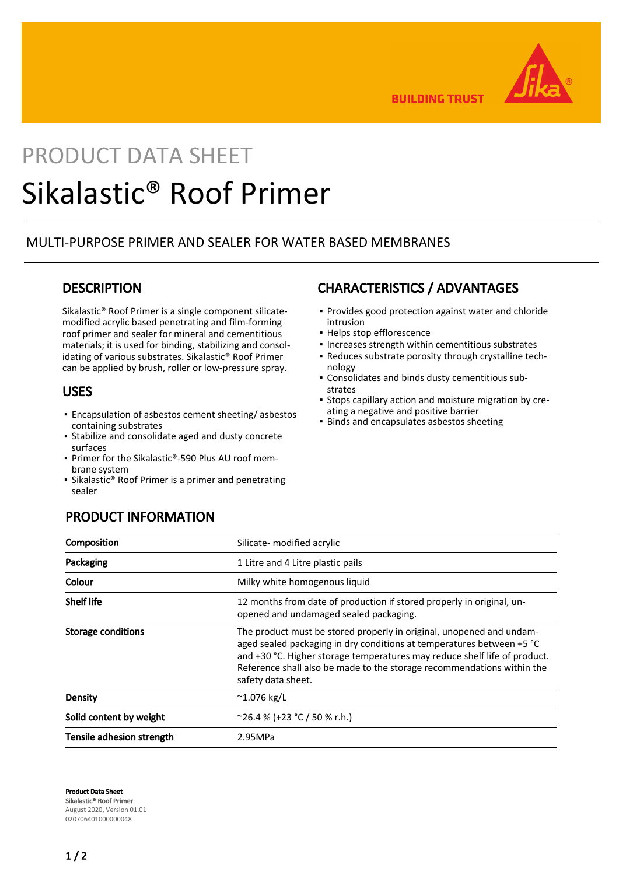

**BUILDING TRUST** 

# PRODUCT DATA SHEET Sikalastic® Roof Primer

## MULTI-PURPOSE PRIMER AND SEALER FOR WATER BASED MEMBRANES

## **DESCRIPTION**

Sikalastic® Roof Primer is a single component silicatemodified acrylic based penetrating and film-forming roof primer and sealer for mineral and cementitious materials; it is used for binding, stabilizing and consolidating of various substrates. Sikalastic® Roof Primer can be applied by brush, roller or low-pressure spray.

### USES

- **Encapsulation of asbestos cement sheeting/ asbestos** containing substrates
- **Exabilize and consolidate aged and dusty concrete** surfaces
- Primer for the Sikalastic®-590 Plus AU roof membrane system
- Sikalastic® Roof Primer is a primer and penetrating sealer

## CHARACTERISTICS / ADVANTAGES

- Provides good protection against water and chloride intrusion
- Helps stop efflorescence
- Increases strength within cementitious substrates
- Reduces substrate porosity through crystalline technology
- Consolidates and binds dusty cementitious sub-▪ strates
- Stops capillary action and moisture migration by creating a negative and positive barrier
- **· Binds and encapsulates asbestos sheeting**

| Composition               | Silicate- modified acrylic                                                                                                                                                                                                                                                                                                 |
|---------------------------|----------------------------------------------------------------------------------------------------------------------------------------------------------------------------------------------------------------------------------------------------------------------------------------------------------------------------|
| Packaging                 | 1 Litre and 4 Litre plastic pails                                                                                                                                                                                                                                                                                          |
| Colour                    | Milky white homogenous liquid                                                                                                                                                                                                                                                                                              |
| <b>Shelf life</b>         | 12 months from date of production if stored properly in original, un-<br>opened and undamaged sealed packaging.                                                                                                                                                                                                            |
| <b>Storage conditions</b> | The product must be stored properly in original, unopened and undam-<br>aged sealed packaging in dry conditions at temperatures between +5 °C<br>and +30 °C. Higher storage temperatures may reduce shelf life of product.<br>Reference shall also be made to the storage recommendations within the<br>safety data sheet. |
| Density                   | $^{\sim}$ 1.076 kg/L                                                                                                                                                                                                                                                                                                       |
| Solid content by weight   | $^{\sim}$ 26.4 % (+23 °C / 50 % r.h.)                                                                                                                                                                                                                                                                                      |
| Tensile adhesion strength | 2.95MPa                                                                                                                                                                                                                                                                                                                    |

PRODUCT INFORMATION

Product Data Sheet Sikalastic® Roof Primer August 2020, Version 01.01 020706401000000048